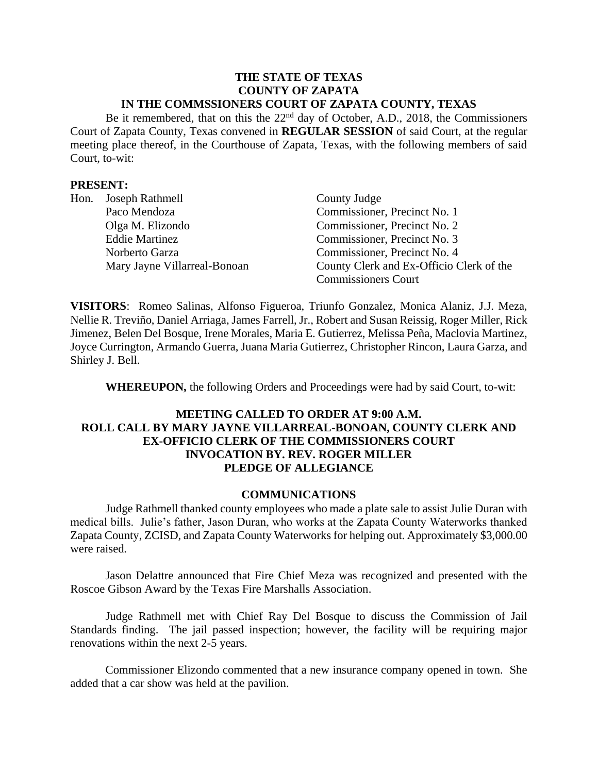#### **THE STATE OF TEXAS COUNTY OF ZAPATA IN THE COMMSSIONERS COURT OF ZAPATA COUNTY, TEXAS**

Be it remembered, that on this the 22nd day of October, A.D., 2018, the Commissioners Court of Zapata County, Texas convened in **REGULAR SESSION** of said Court, at the regular meeting place thereof, in the Courthouse of Zapata, Texas, with the following members of said Court, to-wit:

### **PRESENT:**

| Hon. | Joseph Rathmell              | County Judge                             |
|------|------------------------------|------------------------------------------|
|      | Paco Mendoza                 | Commissioner, Precinct No. 1             |
|      | Olga M. Elizondo             | Commissioner, Precinct No. 2             |
|      | <b>Eddie Martinez</b>        | Commissioner, Precinct No. 3             |
|      | Norberto Garza               | Commissioner, Precinct No. 4             |
|      | Mary Jayne Villarreal-Bonoan | County Clerk and Ex-Officio Clerk of the |
|      |                              | <b>Commissioners Court</b>               |

**VISITORS**: Romeo Salinas, Alfonso Figueroa, Triunfo Gonzalez, Monica Alaniz, J.J. Meza, Nellie R. Treviño, Daniel Arriaga, James Farrell, Jr., Robert and Susan Reissig, Roger Miller, Rick Jimenez, Belen Del Bosque, Irene Morales, Maria E. Gutierrez, Melissa Peña, Maclovia Martinez, Joyce Currington, Armando Guerra, Juana Maria Gutierrez, Christopher Rincon, Laura Garza, and Shirley J. Bell.

**WHEREUPON,** the following Orders and Proceedings were had by said Court, to-wit:

# **MEETING CALLED TO ORDER AT 9:00 A.M. ROLL CALL BY MARY JAYNE VILLARREAL-BONOAN, COUNTY CLERK AND EX-OFFICIO CLERK OF THE COMMISSIONERS COURT INVOCATION BY. REV. ROGER MILLER PLEDGE OF ALLEGIANCE**

### **COMMUNICATIONS**

Judge Rathmell thanked county employees who made a plate sale to assist Julie Duran with medical bills. Julie's father, Jason Duran, who works at the Zapata County Waterworks thanked Zapata County, ZCISD, and Zapata County Waterworks for helping out. Approximately \$3,000.00 were raised.

Jason Delattre announced that Fire Chief Meza was recognized and presented with the Roscoe Gibson Award by the Texas Fire Marshalls Association.

Judge Rathmell met with Chief Ray Del Bosque to discuss the Commission of Jail Standards finding. The jail passed inspection; however, the facility will be requiring major renovations within the next 2-5 years.

Commissioner Elizondo commented that a new insurance company opened in town. She added that a car show was held at the pavilion.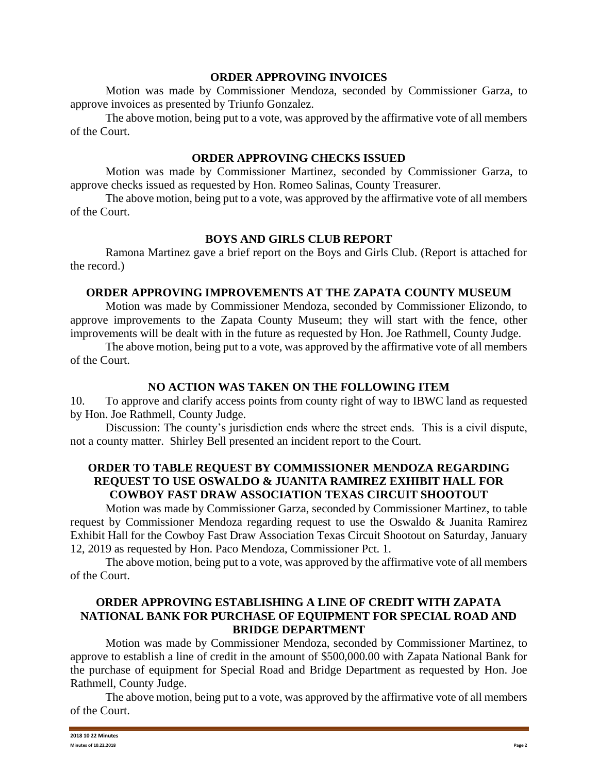#### **ORDER APPROVING INVOICES**

Motion was made by Commissioner Mendoza, seconded by Commissioner Garza, to approve invoices as presented by Triunfo Gonzalez.

The above motion, being put to a vote, was approved by the affirmative vote of all members of the Court.

# **ORDER APPROVING CHECKS ISSUED**

Motion was made by Commissioner Martinez, seconded by Commissioner Garza, to approve checks issued as requested by Hon. Romeo Salinas, County Treasurer.

The above motion, being put to a vote, was approved by the affirmative vote of all members of the Court.

# **BOYS AND GIRLS CLUB REPORT**

Ramona Martinez gave a brief report on the Boys and Girls Club. (Report is attached for the record.)

# **ORDER APPROVING IMPROVEMENTS AT THE ZAPATA COUNTY MUSEUM**

Motion was made by Commissioner Mendoza, seconded by Commissioner Elizondo, to approve improvements to the Zapata County Museum; they will start with the fence, other improvements will be dealt with in the future as requested by Hon. Joe Rathmell, County Judge.

The above motion, being put to a vote, was approved by the affirmative vote of all members of the Court.

# **NO ACTION WAS TAKEN ON THE FOLLOWING ITEM**

10. To approve and clarify access points from county right of way to IBWC land as requested by Hon. Joe Rathmell, County Judge.

Discussion: The county's jurisdiction ends where the street ends. This is a civil dispute, not a county matter. Shirley Bell presented an incident report to the Court.

# **ORDER TO TABLE REQUEST BY COMMISSIONER MENDOZA REGARDING REQUEST TO USE OSWALDO & JUANITA RAMIREZ EXHIBIT HALL FOR COWBOY FAST DRAW ASSOCIATION TEXAS CIRCUIT SHOOTOUT**

Motion was made by Commissioner Garza, seconded by Commissioner Martinez, to table request by Commissioner Mendoza regarding request to use the Oswaldo & Juanita Ramirez Exhibit Hall for the Cowboy Fast Draw Association Texas Circuit Shootout on Saturday, January 12, 2019 as requested by Hon. Paco Mendoza, Commissioner Pct. 1.

The above motion, being put to a vote, was approved by the affirmative vote of all members of the Court.

## **ORDER APPROVING ESTABLISHING A LINE OF CREDIT WITH ZAPATA NATIONAL BANK FOR PURCHASE OF EQUIPMENT FOR SPECIAL ROAD AND BRIDGE DEPARTMENT**

Motion was made by Commissioner Mendoza, seconded by Commissioner Martinez, to approve to establish a line of credit in the amount of \$500,000.00 with Zapata National Bank for the purchase of equipment for Special Road and Bridge Department as requested by Hon. Joe Rathmell, County Judge.

The above motion, being put to a vote, was approved by the affirmative vote of all members of the Court.

| 2018 10 22 Minutes    |        |
|-----------------------|--------|
| Minute.<br>10.22.2018 | Page 2 |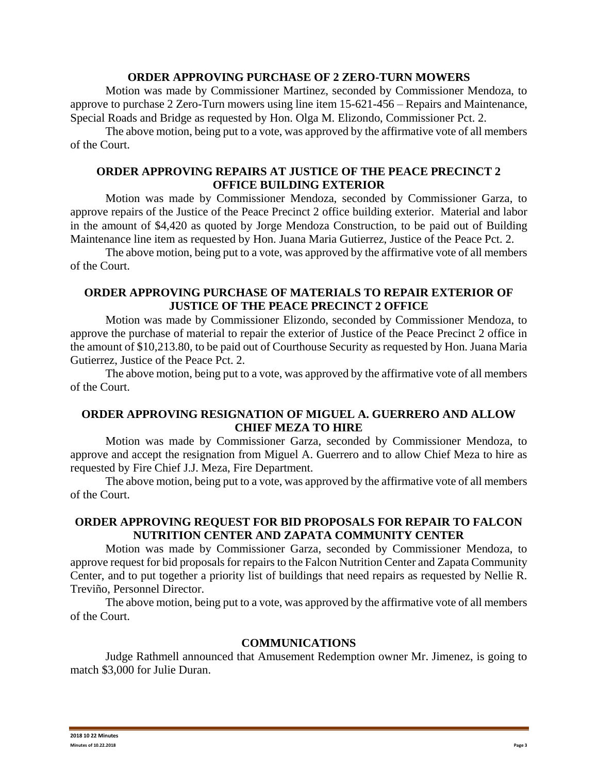### **ORDER APPROVING PURCHASE OF 2 ZERO-TURN MOWERS**

Motion was made by Commissioner Martinez, seconded by Commissioner Mendoza, to approve to purchase 2 Zero-Turn mowers using line item 15-621-456 – Repairs and Maintenance, Special Roads and Bridge as requested by Hon. Olga M. Elizondo, Commissioner Pct. 2.

The above motion, being put to a vote, was approved by the affirmative vote of all members of the Court.

## **ORDER APPROVING REPAIRS AT JUSTICE OF THE PEACE PRECINCT 2 OFFICE BUILDING EXTERIOR**

Motion was made by Commissioner Mendoza, seconded by Commissioner Garza, to approve repairs of the Justice of the Peace Precinct 2 office building exterior. Material and labor in the amount of \$4,420 as quoted by Jorge Mendoza Construction, to be paid out of Building Maintenance line item as requested by Hon. Juana Maria Gutierrez, Justice of the Peace Pct. 2.

The above motion, being put to a vote, was approved by the affirmative vote of all members of the Court.

# **ORDER APPROVING PURCHASE OF MATERIALS TO REPAIR EXTERIOR OF JUSTICE OF THE PEACE PRECINCT 2 OFFICE**

Motion was made by Commissioner Elizondo, seconded by Commissioner Mendoza, to approve the purchase of material to repair the exterior of Justice of the Peace Precinct 2 office in the amount of \$10,213.80, to be paid out of Courthouse Security as requested by Hon. Juana Maria Gutierrez, Justice of the Peace Pct. 2.

The above motion, being put to a vote, was approved by the affirmative vote of all members of the Court.

# **ORDER APPROVING RESIGNATION OF MIGUEL A. GUERRERO AND ALLOW CHIEF MEZA TO HIRE**

Motion was made by Commissioner Garza, seconded by Commissioner Mendoza, to approve and accept the resignation from Miguel A. Guerrero and to allow Chief Meza to hire as requested by Fire Chief J.J. Meza, Fire Department.

The above motion, being put to a vote, was approved by the affirmative vote of all members of the Court.

# **ORDER APPROVING REQUEST FOR BID PROPOSALS FOR REPAIR TO FALCON NUTRITION CENTER AND ZAPATA COMMUNITY CENTER**

Motion was made by Commissioner Garza, seconded by Commissioner Mendoza, to approve request for bid proposals for repairs to the Falcon Nutrition Center and Zapata Community Center, and to put together a priority list of buildings that need repairs as requested by Nellie R. Treviño, Personnel Director.

The above motion, being put to a vote, was approved by the affirmative vote of all members of the Court.

### **COMMUNICATIONS**

Judge Rathmell announced that Amusement Redemption owner Mr. Jimenez, is going to match \$3,000 for Julie Duran.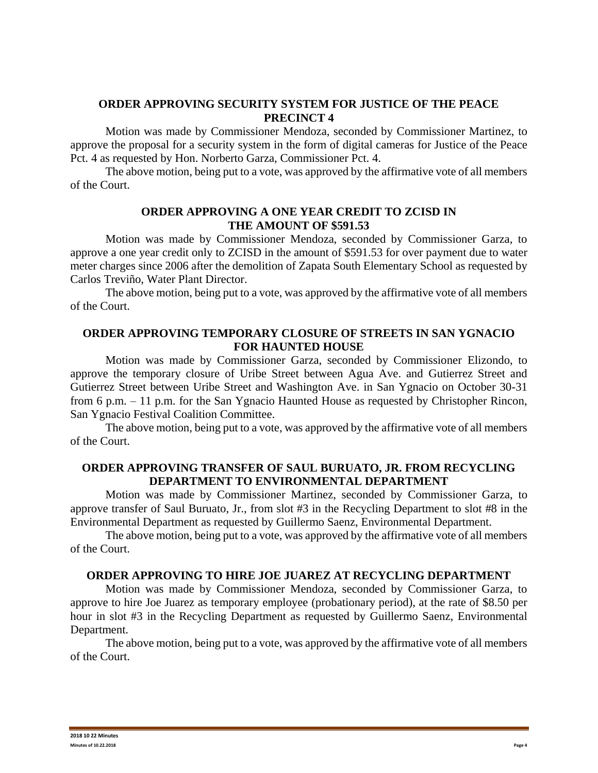### **ORDER APPROVING SECURITY SYSTEM FOR JUSTICE OF THE PEACE PRECINCT 4**

Motion was made by Commissioner Mendoza, seconded by Commissioner Martinez, to approve the proposal for a security system in the form of digital cameras for Justice of the Peace Pct. 4 as requested by Hon. Norberto Garza, Commissioner Pct. 4.

The above motion, being put to a vote, was approved by the affirmative vote of all members of the Court.

## **ORDER APPROVING A ONE YEAR CREDIT TO ZCISD IN THE AMOUNT OF \$591.53**

Motion was made by Commissioner Mendoza, seconded by Commissioner Garza, to approve a one year credit only to ZCISD in the amount of \$591.53 for over payment due to water meter charges since 2006 after the demolition of Zapata South Elementary School as requested by Carlos Treviño, Water Plant Director.

The above motion, being put to a vote, was approved by the affirmative vote of all members of the Court.

# **ORDER APPROVING TEMPORARY CLOSURE OF STREETS IN SAN YGNACIO FOR HAUNTED HOUSE**

Motion was made by Commissioner Garza, seconded by Commissioner Elizondo, to approve the temporary closure of Uribe Street between Agua Ave. and Gutierrez Street and Gutierrez Street between Uribe Street and Washington Ave. in San Ygnacio on October 30-31 from 6 p.m. – 11 p.m. for the San Ygnacio Haunted House as requested by Christopher Rincon, San Ygnacio Festival Coalition Committee.

The above motion, being put to a vote, was approved by the affirmative vote of all members of the Court.

### **ORDER APPROVING TRANSFER OF SAUL BURUATO, JR. FROM RECYCLING DEPARTMENT TO ENVIRONMENTAL DEPARTMENT**

Motion was made by Commissioner Martinez, seconded by Commissioner Garza, to approve transfer of Saul Buruato, Jr., from slot #3 in the Recycling Department to slot #8 in the Environmental Department as requested by Guillermo Saenz, Environmental Department.

The above motion, being put to a vote, was approved by the affirmative vote of all members of the Court.

### **ORDER APPROVING TO HIRE JOE JUAREZ AT RECYCLING DEPARTMENT**

Motion was made by Commissioner Mendoza, seconded by Commissioner Garza, to approve to hire Joe Juarez as temporary employee (probationary period), at the rate of \$8.50 per hour in slot #3 in the Recycling Department as requested by Guillermo Saenz, Environmental Department.

The above motion, being put to a vote, was approved by the affirmative vote of all members of the Court.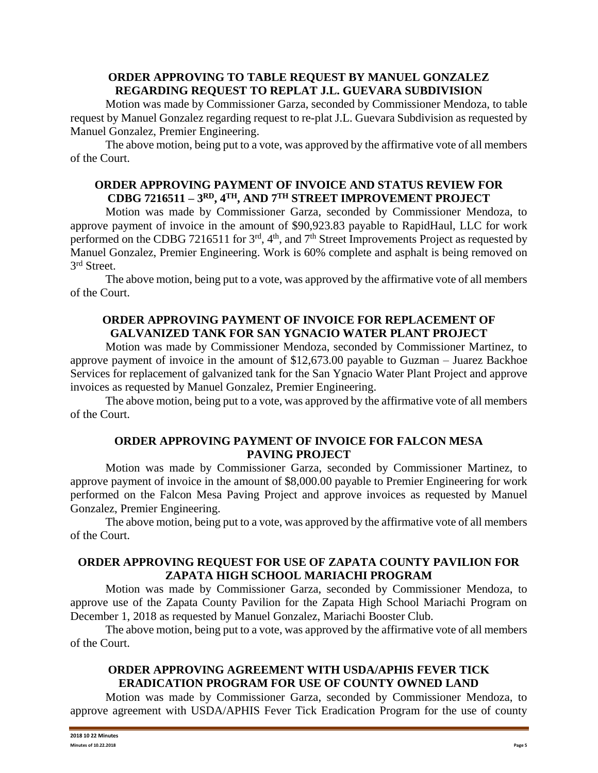## **ORDER APPROVING TO TABLE REQUEST BY MANUEL GONZALEZ REGARDING REQUEST TO REPLAT J.L. GUEVARA SUBDIVISION**

Motion was made by Commissioner Garza, seconded by Commissioner Mendoza, to table request by Manuel Gonzalez regarding request to re-plat J.L. Guevara Subdivision as requested by Manuel Gonzalez, Premier Engineering.

The above motion, being put to a vote, was approved by the affirmative vote of all members of the Court.

# **ORDER APPROVING PAYMENT OF INVOICE AND STATUS REVIEW FOR CDBG 7216511 – 3 RD, 4TH, AND 7TH STREET IMPROVEMENT PROJECT**

Motion was made by Commissioner Garza, seconded by Commissioner Mendoza, to approve payment of invoice in the amount of \$90,923.83 payable to RapidHaul, LLC for work performed on the CDBG 7216511 for 3<sup>rd</sup>, 4<sup>th</sup>, and 7<sup>th</sup> Street Improvements Project as requested by Manuel Gonzalez, Premier Engineering. Work is 60% complete and asphalt is being removed on 3 rd Street.

The above motion, being put to a vote, was approved by the affirmative vote of all members of the Court.

# **ORDER APPROVING PAYMENT OF INVOICE FOR REPLACEMENT OF GALVANIZED TANK FOR SAN YGNACIO WATER PLANT PROJECT**

Motion was made by Commissioner Mendoza, seconded by Commissioner Martinez, to approve payment of invoice in the amount of \$12,673.00 payable to Guzman – Juarez Backhoe Services for replacement of galvanized tank for the San Ygnacio Water Plant Project and approve invoices as requested by Manuel Gonzalez, Premier Engineering.

The above motion, being put to a vote, was approved by the affirmative vote of all members of the Court.

# **ORDER APPROVING PAYMENT OF INVOICE FOR FALCON MESA PAVING PROJECT**

Motion was made by Commissioner Garza, seconded by Commissioner Martinez, to approve payment of invoice in the amount of \$8,000.00 payable to Premier Engineering for work performed on the Falcon Mesa Paving Project and approve invoices as requested by Manuel Gonzalez, Premier Engineering.

The above motion, being put to a vote, was approved by the affirmative vote of all members of the Court.

# **ORDER APPROVING REQUEST FOR USE OF ZAPATA COUNTY PAVILION FOR ZAPATA HIGH SCHOOL MARIACHI PROGRAM**

Motion was made by Commissioner Garza, seconded by Commissioner Mendoza, to approve use of the Zapata County Pavilion for the Zapata High School Mariachi Program on December 1, 2018 as requested by Manuel Gonzalez, Mariachi Booster Club.

The above motion, being put to a vote, was approved by the affirmative vote of all members of the Court.

# **ORDER APPROVING AGREEMENT WITH USDA/APHIS FEVER TICK ERADICATION PROGRAM FOR USE OF COUNTY OWNED LAND**

Motion was made by Commissioner Garza, seconded by Commissioner Mendoza, to approve agreement with USDA/APHIS Fever Tick Eradication Program for the use of county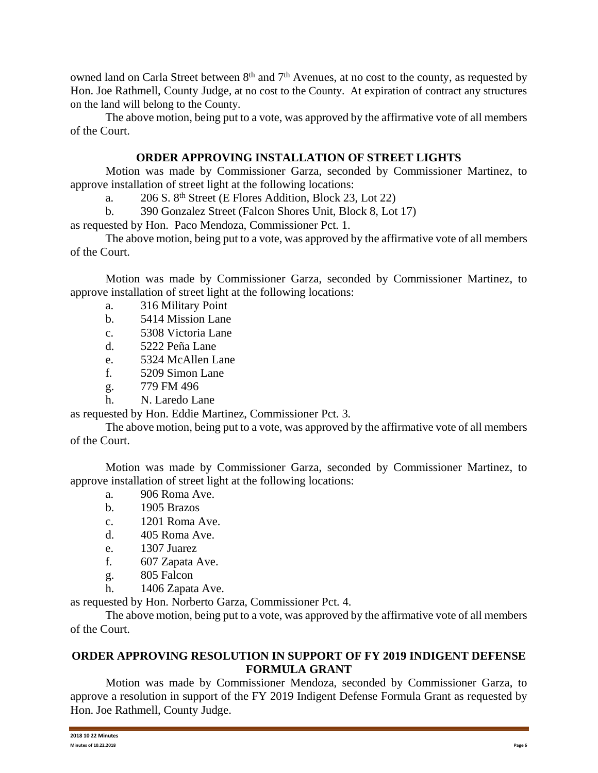owned land on Carla Street between 8<sup>th</sup> and 7<sup>th</sup> Avenues, at no cost to the county, as requested by Hon. Joe Rathmell, County Judge, at no cost to the County. At expiration of contract any structures on the land will belong to the County.

The above motion, being put to a vote, was approved by the affirmative vote of all members of the Court.

# **ORDER APPROVING INSTALLATION OF STREET LIGHTS**

Motion was made by Commissioner Garza, seconded by Commissioner Martinez, to approve installation of street light at the following locations:

a. 206 S. 8th Street (E Flores Addition, Block 23, Lot 22)

b. 390 Gonzalez Street (Falcon Shores Unit, Block 8, Lot 17)

as requested by Hon. Paco Mendoza, Commissioner Pct. 1.

The above motion, being put to a vote, was approved by the affirmative vote of all members of the Court.

Motion was made by Commissioner Garza, seconded by Commissioner Martinez, to approve installation of street light at the following locations:

- a. 316 Military Point
- b. 5414 Mission Lane
- c. 5308 Victoria Lane
- d. 5222 Peña Lane
- e. 5324 McAllen Lane
- f. 5209 Simon Lane
- g. 779 FM 496
- h. N. Laredo Lane

as requested by Hon. Eddie Martinez, Commissioner Pct. 3.

The above motion, being put to a vote, was approved by the affirmative vote of all members of the Court.

Motion was made by Commissioner Garza, seconded by Commissioner Martinez, to approve installation of street light at the following locations:

- a. 906 Roma Ave.
- b. 1905 Brazos
- c. 1201 Roma Ave.
- d. 405 Roma Ave.
- e. 1307 Juarez
- f. 607 Zapata Ave.
- g. 805 Falcon
- h. 1406 Zapata Ave.

as requested by Hon. Norberto Garza, Commissioner Pct. 4.

The above motion, being put to a vote, was approved by the affirmative vote of all members of the Court.

# **ORDER APPROVING RESOLUTION IN SUPPORT OF FY 2019 INDIGENT DEFENSE FORMULA GRANT**

Motion was made by Commissioner Mendoza, seconded by Commissioner Garza, to approve a resolution in support of the FY 2019 Indigent Defense Formula Grant as requested by Hon. Joe Rathmell, County Judge.